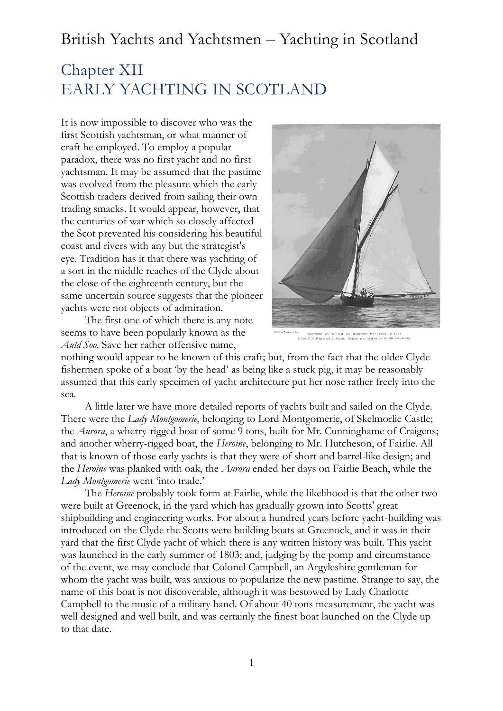# Chapter XII EARLY YACHTING IN SCOTLAND

It is now impossible to discover who was the first Scottish yachtsman, or what manner of craft he employed. To employ a popular paradox, there was no first yacht and no first yachtsman. It may be assumed that the pastime was evolved from the pleasure which the early Scottish traders derived from sailing their own trading smacks. It would appear, however, that the centuries of war which so closely affected the Scot prevented his considering his beautiful coast and rivers with any but the strategist's eye. Tradition has it that there was yachting of a sort in the middle reaches of the Clyde about the close of the eighteenth century, but the same uncertain source suggests that the pioneer yachts were not objects of admiration.

The first one of which there is any note seems to have been popularly known as the *Auld Soo*. Save her rather offensive name,



'NEPTUNE,' EX 'MIRIAM,' EX 'NEPTUNE,' EX 'ZAMPA,' 50 T

nothing would appear to be known of this craft; but, from the fact that the older Clyde fishermen spoke of a boat 'by the head' as being like a stuck pig, it may be reasonably assumed that this early specimen of yacht architecture put her nose rather freely into the sea.

A little later we have more detailed reports of yachts built and sailed on the Clyde. There were the *Lady Montgomerie*, belonging to Lord Montgomerie, of Skelmorlie Castle; the *Aurora*, a wherry-rigged boat of some 9 tons, built for Mr. Cunninghame of Craigens; and another wherry-rigged boat, the *Heroine*, belonging to Mr. Hutcheson, of Fairlie. All that is known of those early yachts is that they were of short and barrel-like design; and the *Heroine* was planked with oak, the *Aurora* ended her days on Fairlie Beach, while the *Lady Montgomerie* went 'into trade.'

The *Heroine* probably took form at Fairlie, while the likelihood is that the other two were built at Greenock, in the yard which has gradually grown into Scotts' great shipbuilding and engineering works. For about a hundred years before yacht-building was introduced on the Clyde the Scotts were building boats at Greenock, and it was in their yard that the first Clyde yacht of which there is any written history was built. This yacht was launched in the early summer of 1803; and, judging by the pomp and circumstance of the event, we may conclude that Colonel Campbell, an Argyleshire gentleman for whom the yacht was built, was anxious to popularize the new pastime. Strange to say, the name of this boat is not discoverable, although it was bestowed by Lady Charlotte Campbell to the music of a military band. Of about 40 tons measurement, the yacht was well designed and well built, and was certainly the finest boat launched on the Clyde up to that date.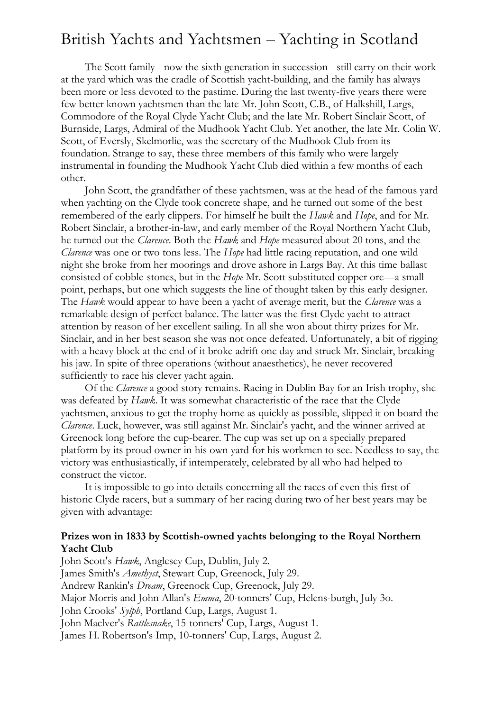The Scott family - now the sixth generation in succession - still carry on their work at the yard which was the cradle of Scottish yacht-building, and the family has always been more or less devoted to the pastime. During the last twenty-five years there were few better known yachtsmen than the late Mr. John Scott, C.B., of Halkshill, Largs, Commodore of the Royal Clyde Yacht Club; and the late Mr. Robert Sinclair Scott, of Burnside, Largs, Admiral of the Mudhook Yacht Club. Yet another, the late Mr. Colin W. Scott, of Eversly, Skelmorlie, was the secretary of the Mudhook Club from its foundation. Strange to say, these three members of this family who were largely instrumental in founding the Mudhook Yacht Club died within a few months of each other.

John Scott, the grandfather of these yachtsmen, was at the head of the famous yard when yachting on the Clyde took concrete shape, and he turned out some of the best remembered of the early clippers. For himself he built the *Hawk* and *Hope*, and for Mr. Robert Sinclair, a brother-in-law, and early member of the Royal Northern Yacht Club, he turned out the *Clarence*. Both the *Hawk* and *Hope* measured about 20 tons, and the *Clarence* was one or two tons less. The *Hope* had little racing reputation, and one wild night she broke from her moorings and drove ashore in Largs Bay. At this time ballast consisted of cobble-stones, but in the *Hope* Mr. Scott substituted copper ore—a small point, perhaps, but one which suggests the line of thought taken by this early designer. The *Hawk* would appear to have been a yacht of average merit, but the *Clarence* was a remarkable design of perfect balance. The latter was the first Clyde yacht to attract attention by reason of her excellent sailing. In all she won about thirty prizes for Mr. Sinclair, and in her best season she was not once defeated. Unfortunately, a bit of rigging with a heavy block at the end of it broke adrift one day and struck Mr. Sinclair, breaking his jaw. In spite of three operations (without anaesthetics), he never recovered sufficiently to race his clever yacht again.

Of the *Clarence* a good story remains. Racing in Dublin Bay for an Irish trophy, she was defeated by *Hawk*. It was somewhat characteristic of the race that the Clyde yachtsmen, anxious to get the trophy home as quickly as possible, slipped it on board the *Clarence*. Luck, however, was still against Mr. Sinclair's yacht, and the winner arrived at Greenock long before the cup-bearer. The cup was set up on a specially prepared platform by its proud owner in his own yard for his workmen to see. Needless to say, the victory was enthusiastically, if intemperately, celebrated by all who had helped to construct the victor.

It is impossible to go into details concerning all the races of even this first of historic Clyde racers, but a summary of her racing during two of her best years may be given with advantage:

#### **Prizes won in 1833 by Scottish-owned yachts belonging to the Royal Northern Yacht Club**

John Scott's *Hawk*, Anglesey Cup, Dublin, July 2. James Smith's *Amethyst*, Stewart Cup, Greenock, July 29. Andrew Rankin's *Dream*, Greenock Cup, Greenock, July 29. Major Morris and John Allan's *Emma*, 20-tonners' Cup, Helens-burgh, July 3o. John Crooks' *Sylph*, Portland Cup, Largs, August 1. John Maclver's *Rattlesnake*, 15-tonners' Cup, Largs, August 1. James H. Robertson's Imp, 10-tonners' Cup, Largs, August 2.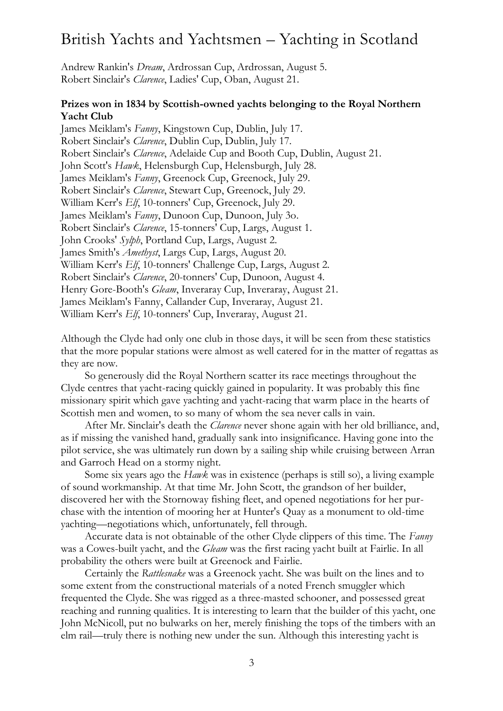Andrew Rankin's *Dream*, Ardrossan Cup, Ardrossan, August 5. Robert Sinclair's *Clarence*, Ladies' Cup, Oban, August 21.

#### **Prizes won in 1834 by Scottish-owned yachts belonging to the Royal Northern Yacht Club**

James Meiklam's *Fanny*, Kingstown Cup, Dublin, July 17. Robert Sinclair's *Clarence*, Dublin Cup, Dublin, July 17. Robert Sinclair's *Clarence*, Adelaide Cup and Booth Cup, Dublin, August 21. John Scott's *Hawk*, Helensburgh Cup, Helensburgh, July 28. James Meiklam's *Fanny*, Greenock Cup, Greenock, July 29. Robert Sinclair's *Clarence*, Stewart Cup, Greenock, July 29. William Kerr's *Elf*, 10-tonners' Cup, Greenock, July 29. James Meiklam's *Fanny*, Dunoon Cup, Dunoon, July 3o. Robert Sinclair's *Clarence*, 15-tonners' Cup, Largs, August 1. John Crooks' *Sylph*, Portland Cup, Largs, August 2. James Smith's *Amethyst*, Largs Cup, Largs, August 20. William Kerr's *Elf*, 10-tonners' Challenge Cup, Largs, August 2. Robert Sinclair's *Clarence*, 20-tonners' Cup, Dunoon, August 4. Henry Gore-Booth's *Gleam*, Inveraray Cup, Inveraray, August 21. James Meiklam's Fanny, Callander Cup, Inveraray, August 21. William Kerr's *Elf*, 10-tonners' Cup, Inveraray, August 21.

Although the Clyde had only one club in those days, it will be seen from these statistics that the more popular stations were almost as well catered for in the matter of regattas as they are now.

So generously did the Royal Northern scatter its race meetings throughout the Clyde centres that yacht-racing quickly gained in popularity. It was probably this fine missionary spirit which gave yachting and yacht-racing that warm place in the hearts of Scottish men and women, to so many of whom the sea never calls in vain.

After Mr. Sinclair's death the *Clarence* never shone again with her old brilliance, and, as if missing the vanished hand, gradually sank into insignificance. Having gone into the pilot service, she was ultimately run down by a sailing ship while cruising between Arran and Garroch Head on a stormy night.

Some six years ago the *Hawk* was in existence (perhaps is still so), a living example of sound workmanship. At that time Mr. John Scott, the grandson of her builder, discovered her with the Stornoway fishing fleet, and opened negotiations for her purchase with the intention of mooring her at Hunter's Quay as a monument to old-time yachting—negotiations which, unfortunately, fell through.

Accurate data is not obtainable of the other Clyde clippers of this time. The *Fanny* was a Cowes-built yacht, and the *Gleam* was the first racing yacht built at Fairlie. In all probability the others were built at Greenock and Fairlie.

Certainly the *Rattlesnake* was a Greenock yacht. She was built on the lines and to some extent from the constructional materials of a noted French smuggler which frequented the Clyde. She was rigged as a three-masted schooner, and possessed great reaching and running qualities. It is interesting to learn that the builder of this yacht, one John McNicoll, put no bulwarks on her, merely finishing the tops of the timbers with an elm rail—truly there is nothing new under the sun. Although this interesting yacht is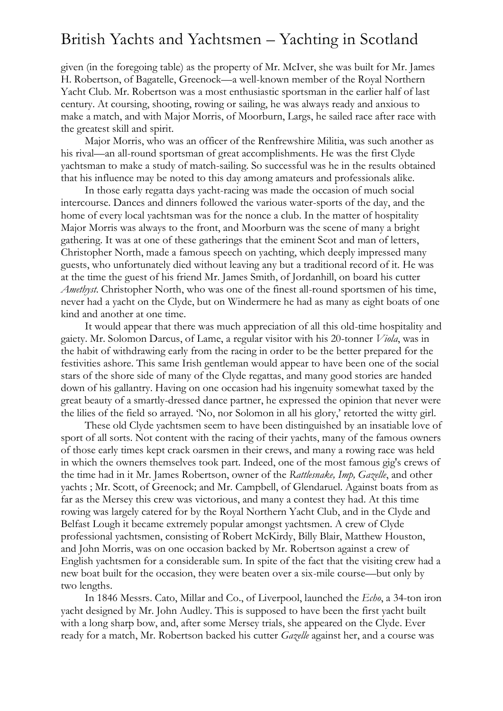given (in the foregoing table) as the property of Mr. McIver, she was built for Mr. James H. Robertson, of Bagatelle, Greenock—a well-known member of the Royal Northern Yacht Club. Mr. Robertson was a most enthusiastic sportsman in the earlier half of last century. At coursing, shooting, rowing or sailing, he was always ready and anxious to make a match, and with Major Morris, of Moorburn, Largs, he sailed race after race with the greatest skill and spirit.

Major Morris, who was an officer of the Renfrewshire Militia, was such another as his rival—an all-round sportsman of great accomplishments. He was the first Clyde yachtsman to make a study of match-sailing. So successful was he in the results obtained that his influence may be noted to this day among amateurs and professionals alike.

In those early regatta days yacht-racing was made the occasion of much social intercourse. Dances and dinners followed the various water-sports of the day, and the home of every local yachtsman was for the nonce a club. In the matter of hospitality Major Morris was always to the front, and Moorburn was the scene of many a bright gathering. It was at one of these gatherings that the eminent Scot and man of letters, Christopher North, made a famous speech on yachting, which deeply impressed many guests, who unfortunately died without leaving any but a traditional record of it. He was at the time the guest of his friend Mr. James Smith, of Jordanhill, on board his cutter *Amethyst*. Christopher North, who was one of the finest all-round sportsmen of his time, never had a yacht on the Clyde, but on Windermere he had as many as eight boats of one kind and another at one time.

It would appear that there was much appreciation of all this old-time hospitality and gaiety. Mr. Solomon Darcus, of Lame, a regular visitor with his 20-tonner *Viola*, was in the habit of withdrawing early from the racing in order to be the better prepared for the festivities ashore. This same Irish gentleman would appear to have been one of the social stars of the shore side of many of the Clyde regattas, and many good stories are handed down of his gallantry. Having on one occasion had his ingenuity somewhat taxed by the great beauty of a smartly-dressed dance partner, he expressed the opinion that never were the lilies of the field so arrayed. 'No, nor Solomon in all his glory,' retorted the witty girl.

These old Clyde yachtsmen seem to have been distinguished by an insatiable love of sport of all sorts. Not content with the racing of their yachts, many of the famous owners of those early times kept crack oarsmen in their crews, and many a rowing race was held in which the owners themselves took part. Indeed, one of the most famous gig's crews of the time had in it Mr. James Robertson, owner of the *Rattlesnake, Imp, Gazelle*, and other yachts ; Mr. Scott, of Greenock; and Mr. Campbell, of Glendaruel. Against boats from as far as the Mersey this crew was victorious, and many a contest they had. At this time rowing was largely catered for by the Royal Northern Yacht Club, and in the Clyde and Belfast Lough it became extremely popular amongst yachtsmen. A crew of Clyde professional yachtsmen, consisting of Robert McKirdy, Billy Blair, Matthew Houston, and John Morris, was on one occasion backed by Mr. Robertson against a crew of English yachtsmen for a considerable sum. In spite of the fact that the visiting crew had a new boat built for the occasion, they were beaten over a six-mile course—but only by two lengths.

In 1846 Messrs. Cato, Millar and Co., of Liverpool, launched the *Echo*, a 34-ton iron yacht designed by Mr. John Audley. This is supposed to have been the first yacht built with a long sharp bow, and, after some Mersey trials, she appeared on the Clyde. Ever ready for a match, Mr. Robertson backed his cutter *Gazelle* against her, and a course was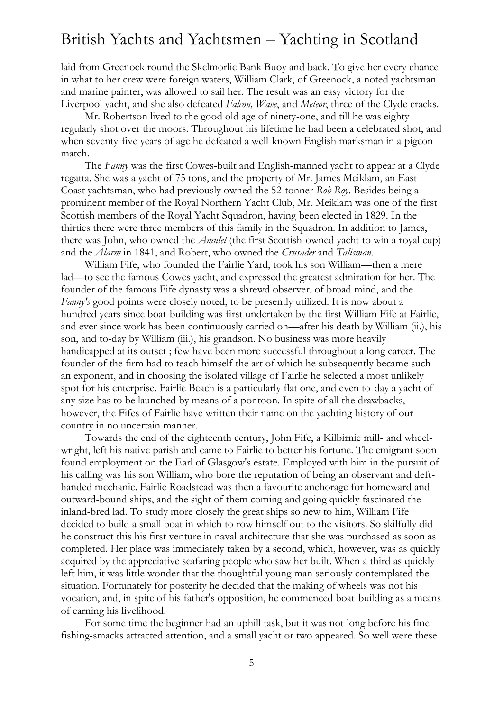laid from Greenock round the Skelmorlie Bank Buoy and back. To give her every chance in what to her crew were foreign waters, William Clark, of Greenock, a noted yachtsman and marine painter, was allowed to sail her. The result was an easy victory for the Liverpool yacht, and she also defeated *Falcon, Wave*, and *Meteor*, three of the Clyde cracks.

Mr. Robertson lived to the good old age of ninety-one, and till he was eighty regularly shot over the moors. Throughout his lifetime he had been a celebrated shot, and when seventy-five years of age he defeated a well-known English marksman in a pigeon match.

The *Fanny* was the first Cowes-built and English-manned yacht to appear at a Clyde regatta. She was a yacht of 75 tons, and the property of Mr. James Meiklam, an East Coast yachtsman, who had previously owned the 52-tonner *Rob Roy*. Besides being a prominent member of the Royal Northern Yacht Club, Mr. Meiklam was one of the first Scottish members of the Royal Yacht Squadron, having been elected in 1829. In the thirties there were three members of this family in the Squadron. In addition to James, there was John, who owned the *Amulet* (the first Scottish-owned yacht to win a royal cup) and the *Alarm* in 1841, and Robert, who owned the *Crusader* and *Talisman*.

William Fife, who founded the Fairlie Yard, took his son William—then a mere lad—to see the famous Cowes yacht, and expressed the greatest admiration for her. The founder of the famous Fife dynasty was a shrewd observer, of broad mind, and the *Fanny's* good points were closely noted, to be presently utilized. It is now about a hundred years since boat-building was first undertaken by the first William Fife at Fairlie, and ever since work has been continuously carried on—after his death by William (ii.), his son, and to-day by William (iii.), his grandson. No business was more heavily handicapped at its outset ; few have been more successful throughout a long career. The founder of the firm had to teach himself the art of which he subsequently became such an exponent, and in choosing the isolated village of Fairlie he selected a most unlikely spot for his enterprise. Fairlie Beach is a particularly flat one, and even to-day a yacht of any size has to be launched by means of a pontoon. In spite of all the drawbacks, however, the Fifes of Fairlie have written their name on the yachting history of our country in no uncertain manner.

Towards the end of the eighteenth century, John Fife, a Kilbirnie mill- and wheelwright, left his native parish and came to Fairlie to better his fortune. The emigrant soon found employment on the Earl of Glasgow's estate. Employed with him in the pursuit of his calling was his son William, who bore the reputation of being an observant and defthanded mechanic. Fairlie Roadstead was then a favourite anchorage for homeward and outward-bound ships, and the sight of them coming and going quickly fascinated the inland-bred lad. To study more closely the great ships so new to him, William Fife decided to build a small boat in which to row himself out to the visitors. So skilfully did he construct this his first venture in naval architecture that she was purchased as soon as completed. Her place was immediately taken by a second, which, however, was as quickly acquired by the appreciative seafaring people who saw her built. When a third as quickly left him, it was little wonder that the thoughtful young man seriously contemplated the situation. Fortunately for posterity he decided that the making of wheels was not his vocation, and, in spite of his father's opposition, he commenced boat-building as a means of earning his livelihood.

For some time the beginner had an uphill task, but it was not long before his fine fishing-smacks attracted attention, and a small yacht or two appeared. So well were these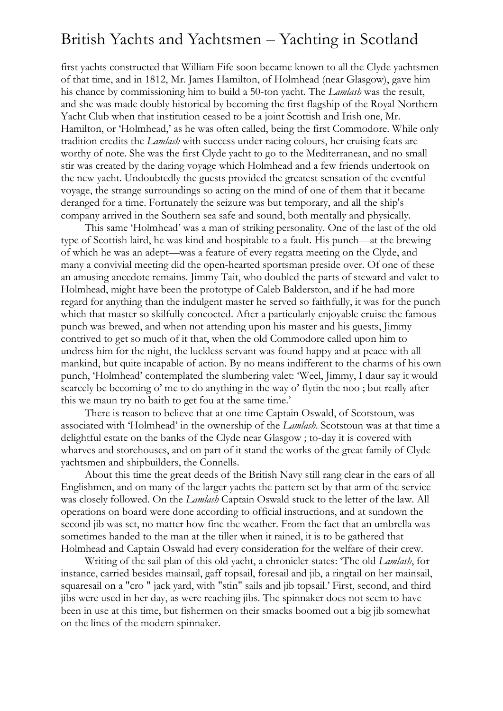first yachts constructed that William Fife soon became known to all the Clyde yachtsmen of that time, and in 1812, Mr. James Hamilton, of Holmhead (near Glasgow), gave him his chance by commissioning him to build a 50-ton yacht. The *Lamlash* was the result, and she was made doubly historical by becoming the first flagship of the Royal Northern Yacht Club when that institution ceased to be a joint Scottish and Irish one, Mr. Hamilton, or 'Holmhead,' as he was often called, being the first Commodore. While only tradition credits the *Lamlash* with success under racing colours, her cruising feats are worthy of note. She was the first Clyde yacht to go to the Mediterranean, and no small stir was created by the daring voyage which Holmhead and a few friends undertook on the new yacht. Undoubtedly the guests provided the greatest sensation of the eventful voyage, the strange surroundings so acting on the mind of one of them that it became deranged for a time. Fortunately the seizure was but temporary, and all the ship's company arrived in the Southern sea safe and sound, both mentally and physically.

This same 'Holmhead' was a man of striking personality. One of the last of the old type of Scottish laird, he was kind and hospitable to a fault. His punch—at the brewing of which he was an adept—was a feature of every regatta meeting on the Clyde, and many a convivial meeting did the open-hearted sportsman preside over. Of one of these an amusing anecdote remains. Jimmy Tait, who doubled the parts of steward and valet to Holmhead, might have been the prototype of Caleb Balderston, and if he had more regard for anything than the indulgent master he served so faithfully, it was for the punch which that master so skilfully concocted. After a particularly enjoyable cruise the famous punch was brewed, and when not attending upon his master and his guests, Jimmy contrived to get so much of it that, when the old Commodore called upon him to undress him for the night, the luckless servant was found happy and at peace with all mankind, but quite incapable of action. By no means indifferent to the charms of his own punch, 'Holmhead' contemplated the slumbering valet: 'Weel, Jimmy, I daur say it would scarcely be becoming o' me to do anything in the way o' flytin the noo ; but really after this we maun try no baith to get fou at the same time.'

There is reason to believe that at one time Captain Oswald, of Scotstoun, was associated with 'Holmhead' in the ownership of the *Lamlash*. Scotstoun was at that time a delightful estate on the banks of the Clyde near Glasgow ; to-day it is covered with wharves and storehouses, and on part of it stand the works of the great family of Clyde yachtsmen and shipbuilders, the Connells.

About this time the great deeds of the British Navy still rang clear in the ears of all Englishmen, and on many of the larger yachts the pattern set by that arm of the service was closely followed. On the *Lamlash* Captain Oswald stuck to the letter of the law. All operations on board were done according to official instructions, and at sundown the second jib was set, no matter how fine the weather. From the fact that an umbrella was sometimes handed to the man at the tiller when it rained, it is to be gathered that Holmhead and Captain Oswald had every consideration for the welfare of their crew.

Writing of the sail plan of this old yacht, a chronicler states: 'The old *Lamlash*, for instance, carried besides mainsail, gaff topsail, foresail and jib, a ringtail on her mainsail, squaresail on a "cro " jack yard, with "stin" sails and jib topsail.' First, second, and third jibs were used in her day, as were reaching jibs. The spinnaker does not seem to have been in use at this time, but fishermen on their smacks boomed out a big jib somewhat on the lines of the modern spinnaker.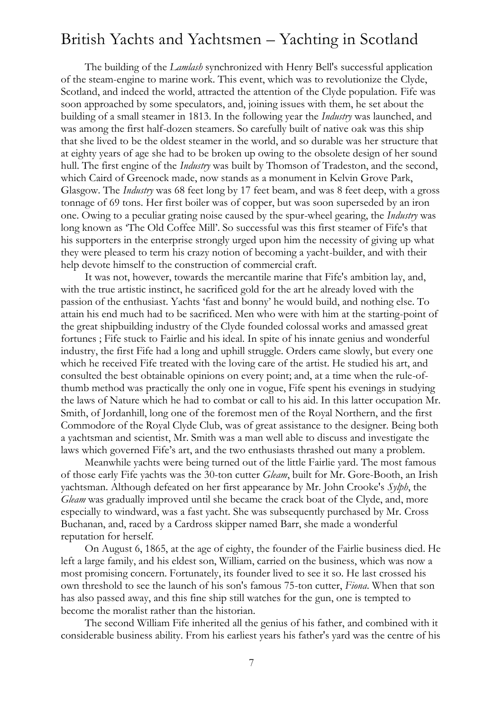The building of the *Lamlash* synchronized with Henry Bell's successful application of the steam-engine to marine work. This event, which was to revolutionize the Clyde, Scotland, and indeed the world, attracted the attention of the Clyde population. Fife was soon approached by some speculators, and, joining issues with them, he set about the building of a small steamer in 1813. In the following year the *Industry* was launched, and was among the first half-dozen steamers. So carefully built of native oak was this ship that she lived to be the oldest steamer in the world, and so durable was her structure that at eighty years of age she had to be broken up owing to the obsolete design of her sound hull. The first engine of the *Industry* was built by Thomson of Tradeston, and the second, which Caird of Greenock made, now stands as a monument in Kelvin Grove Park, Glasgow. The *Industry* was 68 feet long by 17 feet beam, and was 8 feet deep, with a gross tonnage of 69 tons. Her first boiler was of copper, but was soon superseded by an iron one. Owing to a peculiar grating noise caused by the spur-wheel gearing, the *Industry* was long known as 'The Old Coffee Mill'. So successful was this first steamer of Fife's that his supporters in the enterprise strongly urged upon him the necessity of giving up what they were pleased to term his crazy notion of becoming a yacht-builder, and with their help devote himself to the construction of commercial craft.

It was not, however, towards the mercantile marine that Fife's ambition lay, and, with the true artistic instinct, he sacrificed gold for the art he already loved with the passion of the enthusiast. Yachts 'fast and bonny' he would build, and nothing else. To attain his end much had to be sacrificed. Men who were with him at the starting-point of the great shipbuilding industry of the Clyde founded colossal works and amassed great fortunes ; Fife stuck to Fairlie and his ideal. In spite of his innate genius and wonderful industry, the first Fife had a long and uphill struggle. Orders came slowly, but every one which he received Fife treated with the loving care of the artist. He studied his art, and consulted the best obtainable opinions on every point; and, at a time when the rule-ofthumb method was practically the only one in vogue, Fife spent his evenings in studying the laws of Nature which he had to combat or call to his aid. In this latter occupation Mr. Smith, of Jordanhill, long one of the foremost men of the Royal Northern, and the first Commodore of the Royal Clyde Club, was of great assistance to the designer. Being both a yachtsman and scientist, Mr. Smith was a man well able to discuss and investigate the laws which governed Fife's art, and the two enthusiasts thrashed out many a problem.

Meanwhile yachts were being turned out of the little Fairlie yard. The most famous of those early Fife yachts was the 30-ton cutter *Gleam*, built for Mr. Gore-Booth, an Irish yachtsman. Although defeated on her first appearance by Mr. John Crooke's *Sylph*, the *Gleam* was gradually improved until she became the crack boat of the Clyde, and, more especially to windward, was a fast yacht. She was subsequently purchased by Mr. Cross Buchanan, and, raced by a Cardross skipper named Barr, she made a wonderful reputation for herself.

On August 6, 1865, at the age of eighty, the founder of the Fairlie business died. He left a large family, and his eldest son, William, carried on the business, which was now a most promising concern. Fortunately, its founder lived to see it so. He last crossed his own threshold to see the launch of his son's famous 75-ton cutter, *Fiona*. When that son has also passed away, and this fine ship still watches for the gun, one is tempted to become the moralist rather than the historian.

The second William Fife inherited all the genius of his father, and combined with it considerable business ability. From his earliest years his father's yard was the centre of his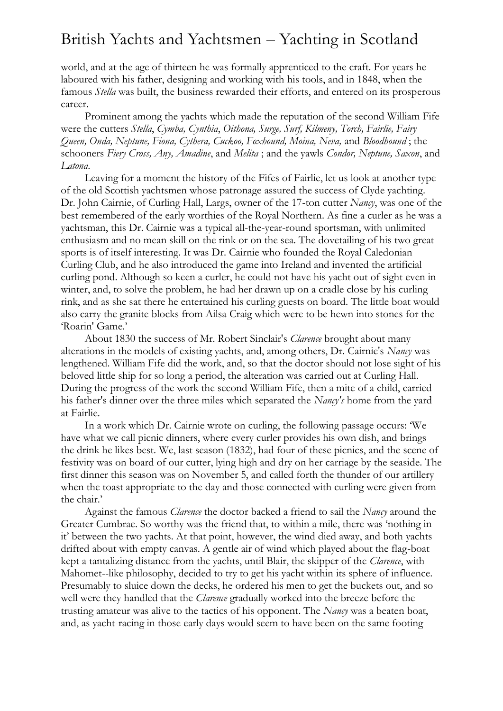world, and at the age of thirteen he was formally apprenticed to the craft. For years he laboured with his father, designing and working with his tools, and in 1848, when the famous *Stella* was built, the business rewarded their efforts, and entered on its prosperous career.

Prominent among the yachts which made the reputation of the second William Fife were the cutters *Stella*, *Cymba, Cynthia*, *Oithona, Surge, Surf, Kilmeny, Torch, Fairlie, Fairy Queen, Onda, Neptune, Fiona, Cythera, Cuckoo, Foxhound, Moina, Neva,* and *Bloodhound* ; the schooners *Fiery Cross, Any, Amadine*, and *Melita* ; and the yawls *Condor, Neptune, Saxon*, and *Latona*.

Leaving for a moment the history of the Fifes of Fairlie, let us look at another type of the old Scottish yachtsmen whose patronage assured the success of Clyde yachting. Dr. John Cairnie, of Curling Hall, Largs, owner of the 17-ton cutter *Nancy*, was one of the best remembered of the early worthies of the Royal Northern. As fine a curler as he was a yachtsman, this Dr. Cairnie was a typical all-the-year-round sportsman, with unlimited enthusiasm and no mean skill on the rink or on the sea. The dovetailing of his two great sports is of itself interesting. It was Dr. Cairnie who founded the Royal Caledonian Curling Club, and he also introduced the game into Ireland and invented the artificial curling pond. Although so keen a curler, he could not have his yacht out of sight even in winter, and, to solve the problem, he had her drawn up on a cradle close by his curling rink, and as she sat there he entertained his curling guests on board. The little boat would also carry the granite blocks from Ailsa Craig which were to be hewn into stones for the 'Roarin' Game.'

About 1830 the success of Mr. Robert Sinclair's *Clarence* brought about many alterations in the models of existing yachts, and, among others, Dr. Cairnie's *Nancy* was lengthened. William Fife did the work, and, so that the doctor should not lose sight of his beloved little ship for so long a period, the alteration was carried out at Curling Hall. During the progress of the work the second William Fife, then a mite of a child, carried his father's dinner over the three miles which separated the *Nancy's* home from the yard at Fairlie.

In a work which Dr. Cairnie wrote on curling, the following passage occurs: 'We have what we call picnic dinners, where every curler provides his own dish, and brings the drink he likes best. We, last season (1832), had four of these picnics, and the scene of festivity was on board of our cutter, lying high and dry on her carriage by the seaside. The first dinner this season was on November 5, and called forth the thunder of our artillery when the toast appropriate to the day and those connected with curling were given from the chair.'

Against the famous *Clarence* the doctor backed a friend to sail the *Nancy* around the Greater Cumbrae. So worthy was the friend that, to within a mile, there was 'nothing in it' between the two yachts. At that point, however, the wind died away, and both yachts drifted about with empty canvas. A gentle air of wind which played about the flag-boat kept a tantalizing distance from the yachts, until Blair, the skipper of the *Clarence*, with Mahomet--like philosophy, decided to try to get his yacht within its sphere of influence. Presumably to sluice down the decks, he ordered his men to get the buckets out, and so well were they handled that the *Clarence* gradually worked into the breeze before the trusting amateur was alive to the tactics of his opponent. The *Nancy* was a beaten boat, and, as yacht-racing in those early days would seem to have been on the same footing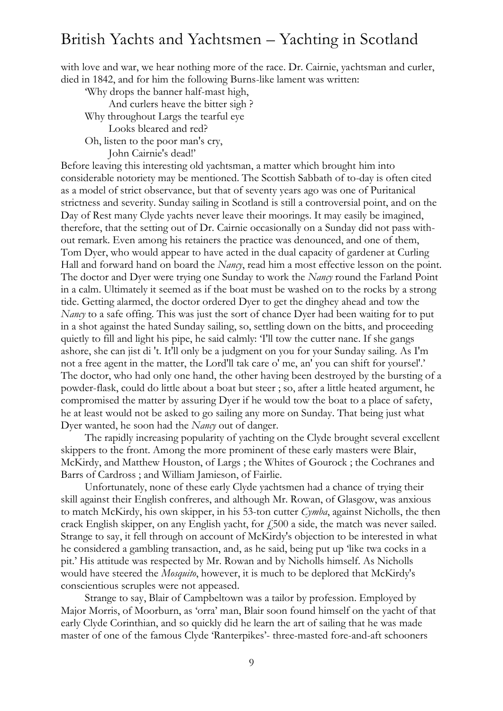with love and war, we hear nothing more of the race. Dr. Cairnie, yachtsman and curler, died in 1842, and for him the following Burns-like lament was written:

'Why drops the banner half-mast high, And curlers heave the bitter sigh ? Why throughout Largs the tearful eye Looks bleared and red? Oh, listen to the poor man's cry, John Cairnie's dead!'

Before leaving this interesting old yachtsman, a matter which brought him into considerable notoriety may be mentioned. The Scottish Sabbath of to-day is often cited as a model of strict observance, but that of seventy years ago was one of Puritanical strictness and severity. Sunday sailing in Scotland is still a controversial point, and on the Day of Rest many Clyde yachts never leave their moorings. It may easily be imagined, therefore, that the setting out of Dr. Cairnie occasionally on a Sunday did not pass without remark. Even among his retainers the practice was denounced, and one of them, Tom Dyer, who would appear to have acted in the dual capacity of gardener at Curling Hall and forward hand on board the *Nancy*, read him a most effective lesson on the point. The doctor and Dyer were trying one Sunday to work the *Nancy* round the Farland Point in a calm. Ultimately it seemed as if the boat must be washed on to the rocks by a strong tide. Getting alarmed, the doctor ordered Dyer to get the dinghey ahead and tow the *Nancy* to a safe offing. This was just the sort of chance Dyer had been waiting for to put in a shot against the hated Sunday sailing, so, settling down on the bitts, and proceeding quietly to fill and light his pipe, he said calmly: 'I'll tow the cutter nane. If she gangs ashore, she can jist di 't. It'll only be a judgment on you for your Sunday sailing. As I'm not a free agent in the matter, the Lord'll tak care o' me, an' you can shift for yoursel'.' The doctor, who had only one hand, the other having been destroyed by the bursting of a powder-flask, could do little about a boat but steer ; so, after a little heated argument, he compromised the matter by assuring Dyer if he would tow the boat to a place of safety, he at least would not be asked to go sailing any more on Sunday. That being just what Dyer wanted, he soon had the *Nancy* out of danger.

The rapidly increasing popularity of yachting on the Clyde brought several excellent skippers to the front. Among the more prominent of these early masters were Blair, McKirdy, and Matthew Houston, of Largs ; the Whites of Gourock ; the Cochranes and Barrs of Cardross ; and William Jamieson, of Fairlie.

Unfortunately, none of these early Clyde yachtsmen had a chance of trying their skill against their English confreres, and although Mr. Rowan, of Glasgow, was anxious to match McKirdy, his own skipper, in his 53-ton cutter *Cymba*, against Nicholls, the then crack English skipper, on any English yacht, for  $\ddot{f}$  500 a side, the match was never sailed. Strange to say, it fell through on account of McKirdy's objection to be interested in what he considered a gambling transaction, and, as he said, being put up 'like twa cocks in a pit.' His attitude was respected by Mr. Rowan and by Nicholls himself. As Nicholls would have steered the *Mosquito*, however, it is much to be deplored that McKirdy's conscientious scruples were not appeased.

Strange to say, Blair of Campbeltown was a tailor by profession. Employed by Major Morris, of Moorburn, as 'orra' man, Blair soon found himself on the yacht of that early Clyde Corinthian, and so quickly did he learn the art of sailing that he was made master of one of the famous Clyde 'Ranterpikes'- three-masted fore-and-aft schooners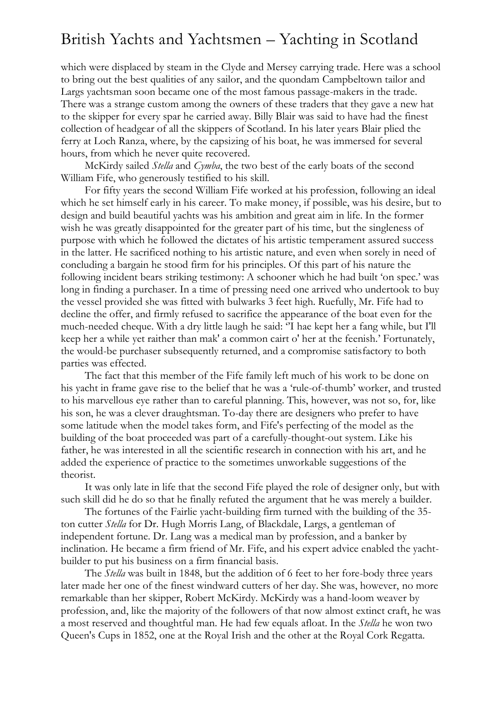which were displaced by steam in the Clyde and Mersey carrying trade. Here was a school to bring out the best qualities of any sailor, and the quondam Campbeltown tailor and Largs yachtsman soon became one of the most famous passage-makers in the trade. There was a strange custom among the owners of these traders that they gave a new hat to the skipper for every spar he carried away. Billy Blair was said to have had the finest collection of headgear of all the skippers of Scotland. In his later years Blair plied the ferry at Loch Ranza, where, by the capsizing of his boat, he was immersed for several hours, from which he never quite recovered.

McKirdy sailed *Stella* and *Cymba*, the two best of the early boats of the second William Fife, who generously testified to his skill.

For fifty years the second William Fife worked at his profession, following an ideal which he set himself early in his career. To make money, if possible, was his desire, but to design and build beautiful yachts was his ambition and great aim in life. In the former wish he was greatly disappointed for the greater part of his time, but the singleness of purpose with which he followed the dictates of his artistic temperament assured success in the latter. He sacrificed nothing to his artistic nature, and even when sorely in need of concluding a bargain he stood firm for his principles. Of this part of his nature the following incident bears striking testimony: A schooner which he had built 'on spec.' was long in finding a purchaser. In a time of pressing need one arrived who undertook to buy the vessel provided she was fitted with bulwarks 3 feet high. Ruefully, Mr. Fife had to decline the offer, and firmly refused to sacrifice the appearance of the boat even for the much-needed cheque. With a dry little laugh he said: ''I hae kept her a fang while, but I'll keep her a while yet raither than mak' a common cairt o' her at the feenish.' Fortunately, the would-be purchaser subsequently returned, and a compromise satisfactory to both parties was effected.

The fact that this member of the Fife family left much of his work to be done on his yacht in frame gave rise to the belief that he was a 'rule-of-thumb' worker, and trusted to his marvellous eye rather than to careful planning. This, however, was not so, for, like his son, he was a clever draughtsman. To-day there are designers who prefer to have some latitude when the model takes form, and Fife's perfecting of the model as the building of the boat proceeded was part of a carefully-thought-out system. Like his father, he was interested in all the scientific research in connection with his art, and he added the experience of practice to the sometimes unworkable suggestions of the theorist.

It was only late in life that the second Fife played the role of designer only, but with such skill did he do so that he finally refuted the argument that he was merely a builder.

The fortunes of the Fairlie yacht-building firm turned with the building of the 35 ton cutter *Stella* for Dr. Hugh Morris Lang, of Blackdale, Largs, a gentleman of independent fortune. Dr. Lang was a medical man by profession, and a banker by inclination. He became a firm friend of Mr. Fife, and his expert advice enabled the yachtbuilder to put his business on a firm financial basis.

The *Stella* was built in 1848, but the addition of 6 feet to her fore-body three years later made her one of the finest windward cutters of her day. She was, however, no more remarkable than her skipper, Robert McKirdy. McKirdy was a hand-loom weaver by profession, and, like the majority of the followers of that now almost extinct craft, he was a most reserved and thoughtful man. He had few equals afloat. In the *Stella* he won two Queen's Cups in 1852, one at the Royal Irish and the other at the Royal Cork Regatta.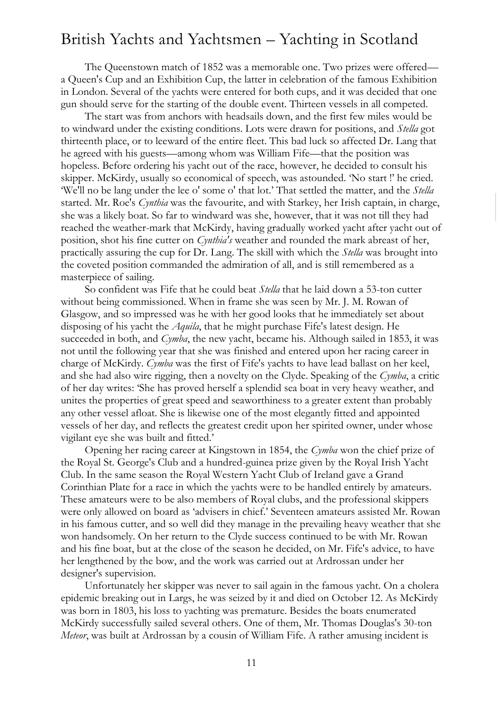The Queenstown match of 1852 was a memorable one. Two prizes were offered a Queen's Cup and an Exhibition Cup, the latter in celebration of the famous Exhibition in London. Several of the yachts were entered for both cups, and it was decided that one gun should serve for the starting of the double event. Thirteen vessels in all competed.

The start was from anchors with headsails down, and the first few miles would be to windward under the existing conditions. Lots were drawn for positions, and *Stella* got thirteenth place, or to leeward of the entire fleet. This bad luck so affected Dr. Lang that he agreed with his guests—among whom was William Fife—that the position was hopeless. Before ordering his yacht out of the race, however, he decided to consult his skipper. McKirdy, usually so economical of speech, was astounded. 'No start !' he cried. 'We'll no be lang under the lee o' some o' that lot.' That settled the matter, and the *Stella* started. Mr. Roe's *Cynthia* was the favourite, and with Starkey, her Irish captain, in charge, she was a likely boat. So far to windward was she, however, that it was not till they had reached the weather-mark that McKirdy, having gradually worked yacht after yacht out of position, shot his fine cutter on *Cynthia's* weather and rounded the mark abreast of her, practically assuring the cup for Dr. Lang. The skill with which the *Stella* was brought into the coveted position commanded the admiration of all, and is still remembered as a masterpiece of sailing.

So confident was Fife that he could beat *Stella* that he laid down a 53-ton cutter without being commissioned. When in frame she was seen by Mr. J. M. Rowan of Glasgow, and so impressed was he with her good looks that he immediately set about disposing of his yacht the *Aquila*, that he might purchase Fife's latest design. He succeeded in both, and *Cymba*, the new yacht, became his. Although sailed in 1853, it was not until the following year that she was finished and entered upon her racing career in charge of McKirdy. *Cymba* was the first of Fife's yachts to have lead ballast on her keel, and she had also wire rigging, then a novelty on the Clyde. Speaking of the *Cymba*, a critic of her day writes: 'She has proved herself a splendid sea boat in very heavy weather, and unites the properties of great speed and seaworthiness to a greater extent than probably any other vessel afloat. She is likewise one of the most elegantly fitted and appointed vessels of her day, and reflects the greatest credit upon her spirited owner, under whose vigilant eye she was built and fitted.'

Opening her racing career at Kingstown in 1854, the *Cymba* won the chief prize of the Royal St. George's Club and a hundred-guinea prize given by the Royal Irish Yacht Club. In the same season the Royal Western Yacht Club of Ireland gave a Grand Corinthian Plate for a race in which the yachts were to be handled entirely by amateurs. These amateurs were to be also members of Royal clubs, and the professional skippers were only allowed on board as 'advisers in chief.' Seventeen amateurs assisted Mr. Rowan in his famous cutter, and so well did they manage in the prevailing heavy weather that she won handsomely. On her return to the Clyde success continued to be with Mr. Rowan and his fine boat, but at the close of the season he decided, on Mr. Fife's advice, to have her lengthened by the bow, and the work was carried out at Ardrossan under her designer's supervision.

Unfortunately her skipper was never to sail again in the famous yacht. On a cholera epidemic breaking out in Largs, he was seized by it and died on October 12. As McKirdy was born in 1803, his loss to yachting was premature. Besides the boats enumerated McKirdy successfully sailed several others. One of them, Mr. Thomas Douglas's 30-ton *Meteor*, was built at Ardrossan by a cousin of William Fife. A rather amusing incident is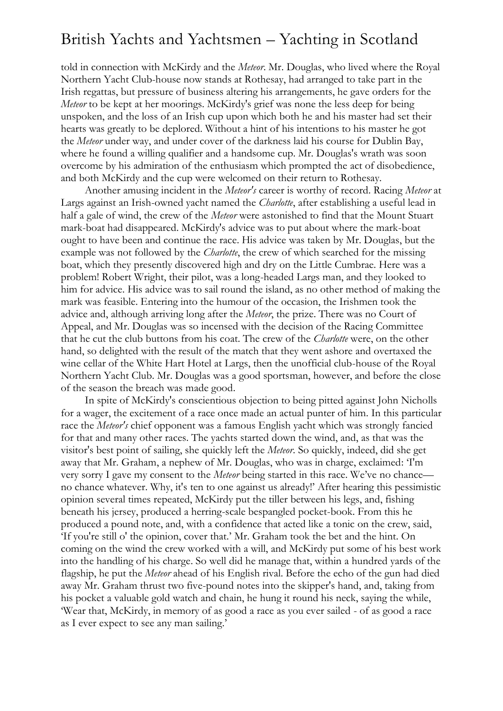told in connection with McKirdy and the *Meteor*. Mr. Douglas, who lived where the Royal Northern Yacht Club-house now stands at Rothesay, had arranged to take part in the Irish regattas, but pressure of business altering his arrangements, he gave orders for the *Meteor* to be kept at her moorings. McKirdy's grief was none the less deep for being unspoken, and the loss of an Irish cup upon which both he and his master had set their hearts was greatly to be deplored. Without a hint of his intentions to his master he got the *Meteor* under way, and under cover of the darkness laid his course for Dublin Bay, where he found a willing qualifier and a handsome cup. Mr. Douglas's wrath was soon overcome by his admiration of the enthusiasm which prompted the act of disobedience, and both McKirdy and the cup were welcomed on their return to Rothesay.

Another amusing incident in the *Meteor's* career is worthy of record. Racing *Meteor* at Largs against an Irish-owned yacht named the *Charlotte*, after establishing a useful lead in half a gale of wind, the crew of the *Meteor* were astonished to find that the Mount Stuart mark-boat had disappeared. McKirdy's advice was to put about where the mark-boat ought to have been and continue the race. His advice was taken by Mr. Douglas, but the example was not followed by the *Charlotte*, the crew of which searched for the missing boat, which they presently discovered high and dry on the Little Cumbrae. Here was a problem! Robert Wright, their pilot, was a long-headed Largs man, and they looked to him for advice. His advice was to sail round the island, as no other method of making the mark was feasible. Entering into the humour of the occasion, the Irishmen took the advice and, although arriving long after the *Meteor*, the prize. There was no Court of Appeal, and Mr. Douglas was so incensed with the decision of the Racing Committee that he cut the club buttons from his coat. The crew of the *Charlotte* were, on the other hand, so delighted with the result of the match that they went ashore and overtaxed the wine cellar of the White Hart Hotel at Largs, then the unofficial club-house of the Royal Northern Yacht Club. Mr. Douglas was a good sportsman, however, and before the close of the season the breach was made good.

In spite of McKirdy's conscientious objection to being pitted against John Nicholls for a wager, the excitement of a race once made an actual punter of him. In this particular race the *Meteor's* chief opponent was a famous English yacht which was strongly fancied for that and many other races. The yachts started down the wind, and, as that was the visitor's best point of sailing, she quickly left the *Meteor*. So quickly, indeed, did she get away that Mr. Graham, a nephew of Mr. Douglas, who was in charge, exclaimed: 'I'm very sorry I gave my consent to the *Meteor* being started in this race. We've no chance no chance whatever. Why, it's ten to one against us already!' After hearing this pessimistic opinion several times repeated, McKirdy put the tiller between his legs, and, fishing beneath his jersey, produced a herring-scale bespangled pocket-book. From this he produced a pound note, and, with a confidence that acted like a tonic on the crew, said, 'If you're still o' the opinion, cover that.' Mr. Graham took the bet and the hint. On coming on the wind the crew worked with a will, and McKirdy put some of his best work into the handling of his charge. So well did he manage that, within a hundred yards of the flagship, he put the *Meteor* ahead of his English rival. Before the echo of the gun had died away Mr. Graham thrust two five-pound notes into the skipper's hand, and, taking from his pocket a valuable gold watch and chain, he hung it round his neck, saying the while, 'Wear that, McKirdy, in memory of as good a race as you ever sailed - of as good a race as I ever expect to see any man sailing.'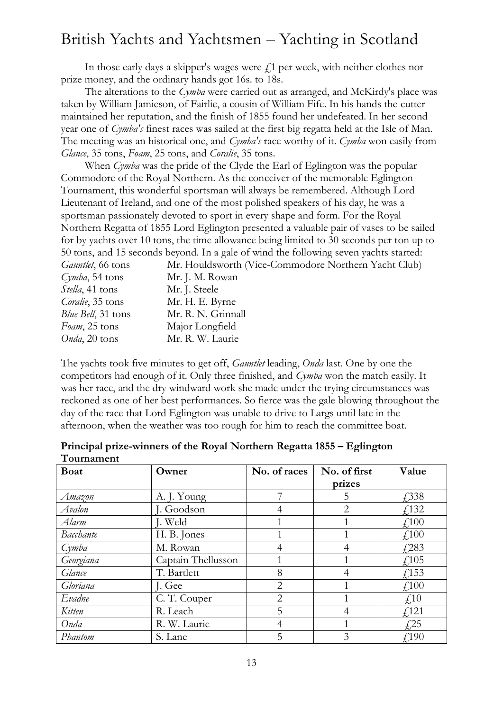In those early days a skipper's wages were  $f<sub>i</sub>$  per week, with neither clothes nor prize money, and the ordinary hands got 16s. to 18s.

The alterations to the *Cymba* were carried out as arranged, and McKirdy's place was taken by William Jamieson, of Fairlie, a cousin of William Fife. In his hands the cutter maintained her reputation, and the finish of 1855 found her undefeated. In her second year one of *Cymba's* finest races was sailed at the first big regatta held at the Isle of Man. The meeting was an historical one, and *Cymba's* race worthy of it. *Cymba* won easily from *Glance*, 35 tons, *Foam*, 25 tons, and *Coralie*, 35 tons.

When *Cymba* was the pride of the Clyde the Earl of Eglington was the popular Commodore of the Royal Northern. As the conceiver of the memorable Eglington Tournament, this wonderful sportsman will always be remembered. Although Lord Lieutenant of Ireland, and one of the most polished speakers of his day, he was a sportsman passionately devoted to sport in every shape and form. For the Royal Northern Regatta of 1855 Lord Eglington presented a valuable pair of vases to be sailed for by yachts over 10 tons, the time allowance being limited to 30 seconds per ton up to 50 tons, and 15 seconds beyond. In a gale of wind the following seven yachts started: *Gauntlet*, 66 tons Mr. Houldsworth (Vice-Commodore Northern Yacht Club)

| Gammel, OO tons          | ML. 1100103WOLII   |
|--------------------------|--------------------|
| $Cymba$ , 54 tons-       | Mr. J. M. Rowan    |
| Stella, 41 tons          | Mr. J. Steele      |
| <i>Coralie</i> , 35 tons | Mr. H. E. Byrne    |
| Blue Bell, 31 tons       | Mr. R. N. Grinnall |
| Foam, 25 tons            | Major Longfield    |
| Onda, 20 tons            | Mr. R. W. Laurie   |

The yachts took five minutes to get off, *Gauntlet* leading, *Onda* last. One by one the competitors had enough of it. Only three finished, and *Cymba* won the match easily. It was her race, and the dry windward work she made under the trying circumstances was reckoned as one of her best performances. So fierce was the gale blowing throughout the day of the race that Lord Eglington was unable to drive to Largs until late in the afternoon, when the weather was too rough for him to reach the committee boat.

| <b>Boat</b>      | Owner              | No. of races   | No. of first   | Value                     |
|------------------|--------------------|----------------|----------------|---------------------------|
|                  |                    |                | prizes         |                           |
| Amazon           | A. J. Young        | 7              | 5              | £,338                     |
| Avalon           | J. Goodson         | 4              | $\overline{2}$ | f(132)                    |
| Alarm            | J. Weld            |                |                | f100                      |
| <b>Bacchante</b> | H. B. Jones        |                |                | $\angle 100$              |
| Cymba            | M. Rowan           | 4              | 4              | $\sqrt{283}$              |
| Georgiana        | Captain Thellusson |                |                | f105                      |
| Glance           | T. Bartlett        | 8              | 4              | f(153)                    |
| Gloriana         | J. Gee             | 2              |                | $\text{\textsterling}100$ |
| Evadne           | C.T. Couper        | $\overline{2}$ |                | $\text{\textsterling}10$  |
| Kitten           | R. Leach           | 5              | 4              | f(121)                    |
| Onda             | R. W. Laurie       | 4              |                | $\sqrt{25}$               |
| Phantom          | S. Lane            | 5              | 3              | $\sqrt{190}$              |

#### **Principal prize-winners of the Royal Northern Regatta 1855 – Eglington Tournament**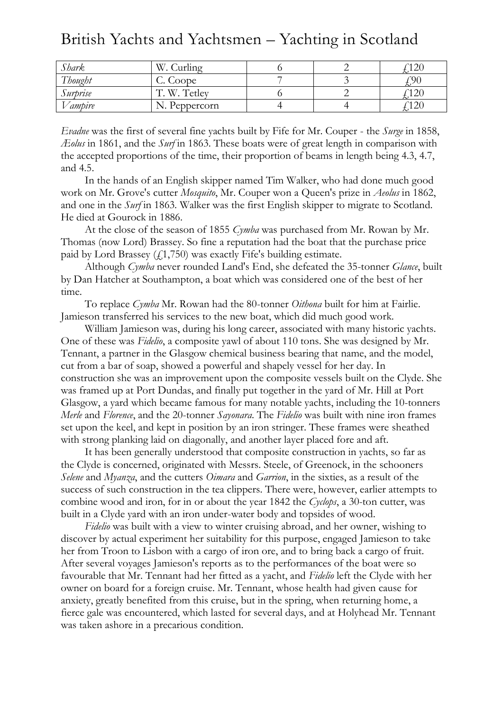| Shark                  | W<br>urling               |  |     |
|------------------------|---------------------------|--|-----|
| $\sqrt{111}$<br>hought | C. Coope                  |  | °00 |
| Surbrise               | Tetley<br>W<br>$\sqrt{ }$ |  | ⊥∠∪ |
| 'ampire                | Peppercorn                |  | 12U |

*Evadne* was the first of several fine yachts built by Fife for Mr. Couper - the *Surge* in 1858, *Æolus* in 1861, and the *Surf* in 1863. These boats were of great length in comparison with the accepted proportions of the time, their proportion of beams in length being 4.3, 4.7, and 4.5.

In the hands of an English skipper named Tim Walker, who had done much good work on Mr. Grove's cutter *Mosquito*, Mr. Couper won a Queen's prize in *Aeolus* in 1862, and one in the *Surf* in 1863. Walker was the first English skipper to migrate to Scotland. He died at Gourock in 1886.

At the close of the season of 1855 *Cymba* was purchased from Mr. Rowan by Mr. Thomas (now Lord) Brassey. So fine a reputation had the boat that the purchase price paid by Lord Brassey  $(4.1, 750)$  was exactly Fife's building estimate.

Although *Cymba* never rounded Land's End, she defeated the 35-tonner *Glance*, built by Dan Hatcher at Southampton, a boat which was considered one of the best of her time.

To replace *Cymba* Mr. Rowan had the 80-tonner *Oithona* built for him at Fairlie. Jamieson transferred his services to the new boat, which did much good work.

William Jamieson was, during his long career, associated with many historic yachts. One of these was *Fidelio*, a composite yawl of about 110 tons. She was designed by Mr. Tennant, a partner in the Glasgow chemical business bearing that name, and the model, cut from a bar of soap, showed a powerful and shapely vessel for her day. In construction she was an improvement upon the composite vessels built on the Clyde. She was framed up at Port Dundas, and finally put together in the yard of Mr. Hill at Port Glasgow, a yard which became famous for many notable yachts, including the 10-tonners *Merle* and *Florence*, and the 20-tonner *Sayonara*. The *Fidelio* was built with nine iron frames set upon the keel, and kept in position by an iron stringer. These frames were sheathed with strong planking laid on diagonally, and another layer placed fore and aft.

It has been generally understood that composite construction in yachts, so far as the Clyde is concerned, originated with Messrs. Steele, of Greenock, in the schooners *Selene* and *Myanza*, and the cutters *Oimara* and *Garrion*, in the sixties, as a result of the success of such construction in the tea clippers. There were, however, earlier attempts to combine wood and iron, for in or about the year 1842 the *Cyclops*, a 30-ton cutter, was built in a Clyde yard with an iron under-water body and topsides of wood.

*Fidelio* was built with a view to winter cruising abroad, and her owner, wishing to discover by actual experiment her suitability for this purpose, engaged Jamieson to take her from Troon to Lisbon with a cargo of iron ore, and to bring back a cargo of fruit. After several voyages Jamieson's reports as to the performances of the boat were so favourable that Mr. Tennant had her fitted as a yacht, and *Fidelio* left the Clyde with her owner on board for a foreign cruise. Mr. Tennant, whose health had given cause for anxiety, greatly benefited from this cruise, but in the spring, when returning home, a fierce gale was encountered, which lasted for several days, and at Holyhead Mr. Tennant was taken ashore in a precarious condition.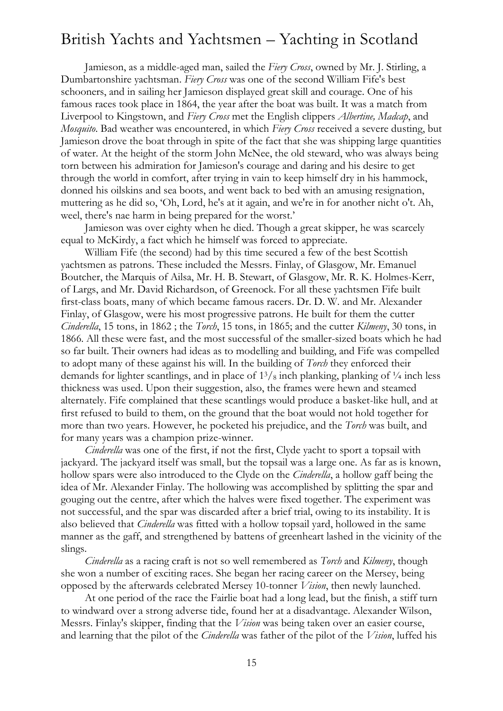Jamieson, as a middle-aged man, sailed the *Fiery Cross*, owned by Mr. J. Stirling, a Dumbartonshire yachtsman. *Fiery Cross* was one of the second William Fife's best schooners, and in sailing her Jamieson displayed great skill and courage. One of his famous races took place in 1864, the year after the boat was built. It was a match from Liverpool to Kingstown, and *Fiery Cross* met the English clippers *Albertine, Madcap*, and *Mosquito*. Bad weather was encountered, in which *Fiery Cross* received a severe dusting, but Jamieson drove the boat through in spite of the fact that she was shipping large quantities of water. At the height of the storm John McNee, the old steward, who was always being torn between his admiration for Jamieson's courage and daring and his desire to get through the world in comfort, after trying in vain to keep himself dry in his hammock, donned his oilskins and sea boots, and went back to bed with an amusing resignation, muttering as he did so, 'Oh, Lord, he's at it again, and we're in for another nicht o't. Ah, weel, there's nae harm in being prepared for the worst.'

Jamieson was over eighty when he died. Though a great skipper, he was scarcely equal to McKirdy, a fact which he himself was forced to appreciate.

William Fife (the second) had by this time secured a few of the best Scottish yachtsmen as patrons. These included the Messrs. Finlay, of Glasgow, Mr. Emanuel Boutcher, the Marquis of Ailsa, Mr. H. B. Stewart, of Glasgow, Mr. R. K. Holmes-Kerr, of Largs, and Mr. David Richardson, of Greenock. For all these yachtsmen Fife built first-class boats, many of which became famous racers. Dr. D. W. and Mr. Alexander Finlay, of Glasgow, were his most progressive patrons. He built for them the cutter *Cinderella*, 15 tons, in 1862 ; the *Torch*, 15 tons, in 1865; and the cutter *Kilmeny*, 30 tons, in 1866. All these were fast, and the most successful of the smaller-sized boats which he had so far built. Their owners had ideas as to modelling and building, and Fife was compelled to adopt many of these against his will. In the building of *Torch* they enforced their demands for lighter scantlings, and in place of  $1\frac{3}{8}$  inch planking, planking of  $\frac{1}{4}$  inch less thickness was used. Upon their suggestion, also, the frames were hewn and steamed alternately. Fife complained that these scantlings would produce a basket-like hull, and at first refused to build to them, on the ground that the boat would not hold together for more than two years. However, he pocketed his prejudice, and the *Torch* was built, and for many years was a champion prize-winner.

*Cinderella* was one of the first, if not the first, Clyde yacht to sport a topsail with jackyard. The jackyard itself was small, but the topsail was a large one. As far as is known, hollow spars were also introduced to the Clyde on the *Cinderella*, a hollow gaff being the idea of Mr. Alexander Finlay. The hollowing was accomplished by splitting the spar and gouging out the centre, after which the halves were fixed together. The experiment was not successful, and the spar was discarded after a brief trial, owing to its instability. It is also believed that *Cinderella* was fitted with a hollow topsail yard, hollowed in the same manner as the gaff, and strengthened by battens of greenheart lashed in the vicinity of the slings.

*Cinderella* as a racing craft is not so well remembered as *Torch* and *Kilmeny*, though she won a number of exciting races. She began her racing career on the Mersey, being opposed by the afterwards celebrated Mersey 10-tonner *Vision*, then newly launched.

At one period of the race the Fairlie boat had a long lead, but the finish, a stiff turn to windward over a strong adverse tide, found her at a disadvantage. Alexander Wilson, Messrs. Finlay's skipper, finding that the *Vision* was being taken over an easier course, and learning that the pilot of the *Cinderella* was father of the pilot of the *Vision*, luffed his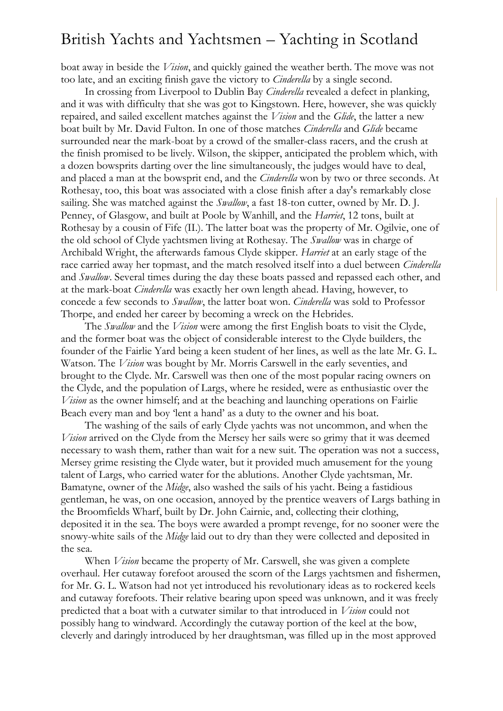boat away in beside the *Vision*, and quickly gained the weather berth. The move was not too late, and an exciting finish gave the victory to *Cinderella* by a single second.

In crossing from Liverpool to Dublin Bay *Cinderella* revealed a defect in planking, and it was with difficulty that she was got to Kingstown. Here, however, she was quickly repaired, and sailed excellent matches against the *Vision* and the *Glide*, the latter a new boat built by Mr. David Fulton. In one of those matches *Cinderella* and *Glide* became surrounded near the mark-boat by a crowd of the smaller-class racers, and the crush at the finish promised to be lively. Wilson, the skipper, anticipated the problem which, with a dozen bowsprits darting over the line simultaneously, the judges would have to deal, and placed a man at the bowsprit end, and the *Cinderella* won by two or three seconds. At Rothesay, too, this boat was associated with a close finish after a day's remarkably close sailing. She was matched against the *Swallow*, a fast 18-ton cutter, owned by Mr. D. J. Penney, of Glasgow, and built at Poole by Wanhill, and the *Harriet*, 12 tons, built at Rothesay by a cousin of Fife (II.). The latter boat was the property of Mr. Ogilvie, one of the old school of Clyde yachtsmen living at Rothesay. The *Swallow* was in charge of Archibald Wright, the afterwards famous Clyde skipper. *Harriet* at an early stage of the race carried away her topmast, and the match resolved itself into a duel between *Cinderella* and *Swallow*. Several times during the day these boats passed and repassed each other, and at the mark-boat *Cinderella* was exactly her own length ahead. Having, however, to concede a few seconds to *Swallow*, the latter boat won. *Cinderella* was sold to Professor Thorpe, and ended her career by becoming a wreck on the Hebrides.

The *Swallow* and the *Vision* were among the first English boats to visit the Clyde, and the former boat was the object of considerable interest to the Clyde builders, the founder of the Fairlie Yard being a keen student of her lines, as well as the late Mr. G. L. Watson. The *Vision* was bought by Mr. Morris Carswell in the early seventies, and brought to the Clyde. Mr. Carswell was then one of the most popular racing owners on the Clyde, and the population of Largs, where he resided, were as enthusiastic over the *Vision* as the owner himself; and at the beaching and launching operations on Fairlie Beach every man and boy 'lent a hand' as a duty to the owner and his boat.

The washing of the sails of early Clyde yachts was not uncommon, and when the *Vision* arrived on the Clyde from the Mersey her sails were so grimy that it was deemed necessary to wash them, rather than wait for a new suit. The operation was not a success, Mersey grime resisting the Clyde water, but it provided much amusement for the young talent of Largs, who carried water for the ablutions. Another Clyde yachtsman, Mr. Bamatyne, owner of the *Midge*, also washed the sails of his yacht. Being a fastidious gentleman, he was, on one occasion, annoyed by the prentice weavers of Largs bathing in the Broomfields Wharf, built by Dr. John Cairnie, and, collecting their clothing, deposited it in the sea. The boys were awarded a prompt revenge, for no sooner were the snowy-white sails of the *Midge* laid out to dry than they were collected and deposited in the sea.

When *Vision* became the property of Mr. Carswell, she was given a complete overhaul. Her cutaway forefoot aroused the scorn of the Largs yachtsmen and fishermen, for Mr. G. L. Watson had not yet introduced his revolutionary ideas as to rockered keels and cutaway forefoots. Their relative bearing upon speed was unknown, and it was freely predicted that a boat with a cutwater similar to that introduced in *Vision* could not possibly hang to windward. Accordingly the cutaway portion of the keel at the bow, cleverly and daringly introduced by her draughtsman, was filled up in the most approved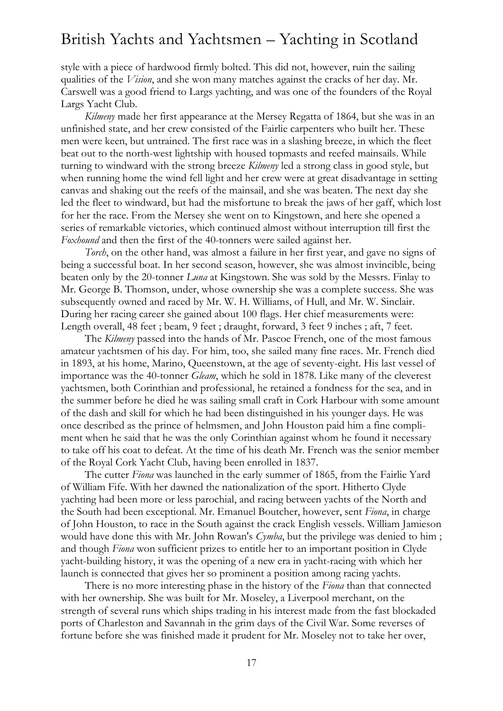style with a piece of hardwood firmly bolted. This did not, however, ruin the sailing qualities of the *Vision*, and she won many matches against the cracks of her day. Mr. Carswell was a good friend to Largs yachting, and was one of the founders of the Royal Largs Yacht Club.

*Kilmeny* made her first appearance at the Mersey Regatta of 1864, but she was in an unfinished state, and her crew consisted of the Fairlie carpenters who built her. These men were keen, but untrained. The first race was in a slashing breeze, in which the fleet beat out to the north-west lightship with housed topmasts and reefed mainsails. While turning to windward with the strong breeze *Kilmeny* led a strong class in good style, but when running home the wind fell light and her crew were at great disadvantage in setting canvas and shaking out the reefs of the mainsail, and she was beaten. The next day she led the fleet to windward, but had the misfortune to break the jaws of her gaff, which lost for her the race. From the Mersey she went on to Kingstown, and here she opened a series of remarkable victories, which continued almost without interruption till first the *Foxhound* and then the first of the 40-tonners were sailed against her.

*Torch*, on the other hand, was almost a failure in her first year, and gave no signs of being a successful boat. In her second season, however, she was almost invincible, being beaten only by the 20-tonner *Luna* at Kingstown. She was sold by the Messrs. Finlay to Mr. George B. Thomson, under, whose ownership she was a complete success. She was subsequently owned and raced by Mr. W. H. Williams, of Hull, and Mr. W. Sinclair. During her racing career she gained about 100 flags. Her chief measurements were: Length overall, 48 feet ; beam, 9 feet ; draught, forward, 3 feet 9 inches ; aft, 7 feet.

The *Kilmeny* passed into the hands of Mr. Pascoe French, one of the most famous amateur yachtsmen of his day. For him, too, she sailed many fine races. Mr. French died in 1893, at his home, Marino, Queenstown, at the age of seventy-eight. His last vessel of importance was the 40-tonner *Gleam*, which he sold in 1878. Like many of the cleverest yachtsmen, both Corinthian and professional, he retained a fondness for the sea, and in the summer before he died he was sailing small craft in Cork Harbour with some amount of the dash and skill for which he had been distinguished in his younger days. He was once described as the prince of helmsmen, and John Houston paid him a fine compliment when he said that he was the only Corinthian against whom he found it necessary to take off his coat to defeat. At the time of his death Mr. French was the senior member of the Royal Cork Yacht Club, having been enrolled in 1837.

The cutter *Fiona* was launched in the early summer of 1865, from the Fairlie Yard of William Fife. With her dawned the nationalization of the sport. Hitherto Clyde yachting had been more or less parochial, and racing between yachts of the North and the South had been exceptional. Mr. Emanuel Boutcher, however, sent *Fiona*, in charge of John Houston, to race in the South against the crack English vessels. William Jamieson would have done this with Mr. John Rowan's *Cymba*, but the privilege was denied to him ; and though *Fiona* won sufficient prizes to entitle her to an important position in Clyde yacht-building history, it was the opening of a new era in yacht-racing with which her launch is connected that gives her so prominent a position among racing yachts.

There is no more interesting phase in the history of the *Fiona* than that connected with her ownership. She was built for Mr. Moseley, a Liverpool merchant, on the strength of several runs which ships trading in his interest made from the fast blockaded ports of Charleston and Savannah in the grim days of the Civil War. Some reverses of fortune before she was finished made it prudent for Mr. Moseley not to take her over,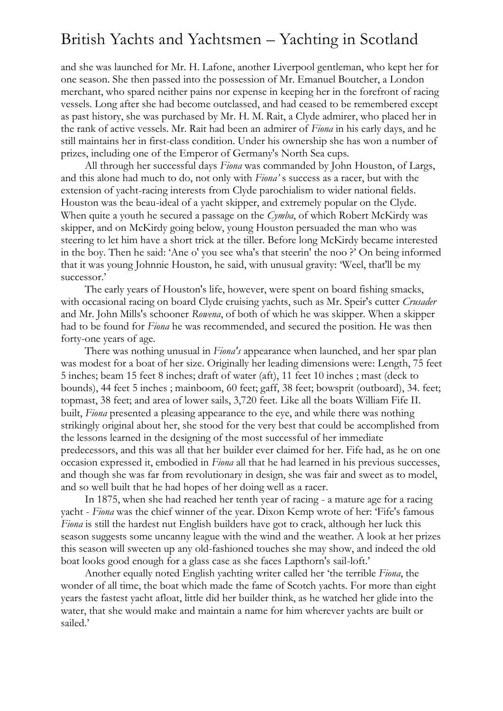and she was launched for Mr. H. Lafone, another Liverpool gentleman, who kept her for one season. She then passed into the possession of Mr. Emanuel Boutcher, a London merchant, who spared neither pains nor expense in keeping her in the forefront of racing vessels. Long after she had become outclassed, and had ceased to be remembered except as past history, she was purchased by Mr. H. M. Rait, a Clyde admirer, who placed her in the rank of active vessels. Mr. Rait had been an admirer of *Fiona* in his early days, and he still maintains her in first-class condition. Under his ownership she has won a number of prizes, including one of the Emperor of Germany's North Sea cups.

All through her successful days *Fiona* was commanded by John Houston, of Largs, and this alone had much to do, not only with *Fiona'* s success as a racer, but with the extension of yacht-racing interests from Clyde parochialism to wider national fields. Houston was the beau-ideal of a yacht skipper, and extremely popular on the Clyde. When quite a youth he secured a passage on the *Cymba*, of which Robert McKirdy was skipper, and on McKirdy going below, young Houston persuaded the man who was steering to let him have a short trick at the tiller. Before long McKirdy became interested in the boy. Then he said: 'Ane o' you see wha's that steerin' the noo ?' On being informed that it was young Johnnie Houston, he said, with unusual gravity: 'Weel, that'll be my successor.'

The early years of Houston's life, however, were spent on board fishing smacks, with occasional racing on board Clyde cruising yachts, such as Mr. Speir's cutter *Crusader* and Mr. John Mills's schooner *Rowena*, of both of which he was skipper. When a skipper had to be found for *Fiona* he was recommended, and secured the position. He was then forty-one years of age.

There was nothing unusual in *Fiona's* appearance when launched, and her spar plan was modest for a boat of her size. Originally her leading dimensions were: Length, 75 feet 5 inches; beam 15 feet 8 inches; draft of water (aft), 11 feet 10 inches ; mast (deck to bounds), 44 feet 5 inches ; mainboom, 60 feet; gaff, 38 feet; bowsprit (outboard), 34. feet; topmast, 38 feet; and area of lower sails, 3,720 feet. Like all the boats William Fife II. built, *Fiona* presented a pleasing appearance to the eye, and while there was nothing strikingly original about her, she stood for the very best that could be accomplished from the lessons learned in the designing of the most successful of her immediate predecessors, and this was all that her builder ever claimed for her. Fife had, as he on one occasion expressed it, embodied in *Fiona* all that he had learned in his previous successes, and though she was far from revolutionary in design, she was fair and sweet as to model, and so well built that he had hopes of her doing well as a racer.

In 1875, when she had reached her tenth year of racing - a mature age for a racing yacht - *Fiona* was the chief winner of the year. Dixon Kemp wrote of her: 'Fife's famous *Fiona* is still the hardest nut English builders have got to crack, although her luck this season suggests some uncanny league with the wind and the weather. A look at her prizes this season will sweeten up any old-fashioned touches she may show, and indeed the old boat looks good enough for a glass case as she faces Lapthorn's sail-loft.'

Another equally noted English yachting writer called her 'the terrible *Fiona*, the wonder of all time, the boat which made the fame of Scotch yachts. For more than eight years the fastest yacht afloat, little did her builder think, as he watched her glide into the water, that she would make and maintain a name for him wherever yachts are built or sailed.'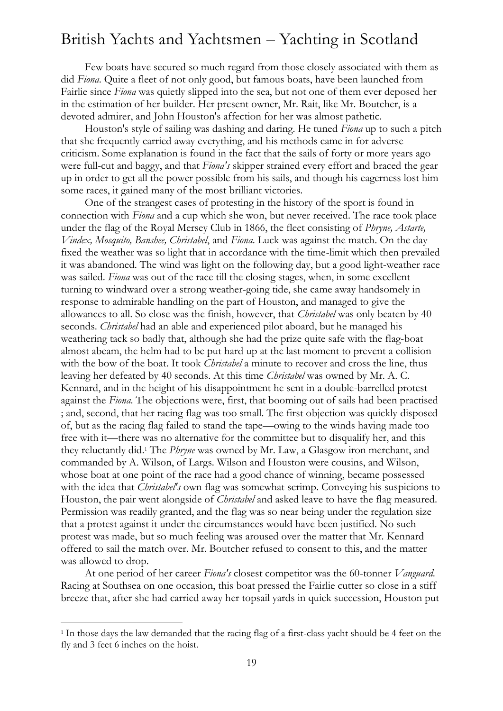Few boats have secured so much regard from those closely associated with them as did *Fiona*. Quite a fleet of not only good, but famous boats, have been launched from Fairlie since *Fiona* was quietly slipped into the sea, but not one of them ever deposed her in the estimation of her builder. Her present owner, Mr. Rait, like Mr. Boutcher, is a devoted admirer, and John Houston's affection for her was almost pathetic.

Houston's style of sailing was dashing and daring. He tuned *Fiona* up to such a pitch that she frequently carried away everything, and his methods came in for adverse criticism. Some explanation is found in the fact that the sails of forty or more years ago were full-cut and baggy, and that *Fiona's* skipper strained every effort and braced the gear up in order to get all the power possible from his sails, and though his eagerness lost him some races, it gained many of the most brilliant victories.

One of the strangest cases of protesting in the history of the sport is found in connection with *Fiona* and a cup which she won, but never received. The race took place under the flag of the Royal Mersey Club in 1866, the fleet consisting of *Phryne, Astarte, Vindex, Mosquito, Banshee, Christabel*, and *Fiona*. Luck was against the match. On the day fixed the weather was so light that in accordance with the time-limit which then prevailed it was abandoned. The wind was light on the following day, but a good light-weather race was sailed. *Fiona* was out of the race till the closing stages, when, in some excellent turning to windward over a strong weather-going tide, she came away handsomely in response to admirable handling on the part of Houston, and managed to give the allowances to all. So close was the finish, however, that *Christabel* was only beaten by 40 seconds. *Christabel* had an able and experienced pilot aboard, but he managed his weathering tack so badly that, although she had the prize quite safe with the flag-boat almost abeam, the helm had to be put hard up at the last moment to prevent a collision with the bow of the boat. It took *Christabel* a minute to recover and cross the line, thus leaving her defeated by 40 seconds. At this time *Christabel* was owned by Mr. A. C. Kennard, and in the height of his disappointment he sent in a double-barrelled protest against the *Fiona*. The objections were, first, that booming out of sails had been practised ; and, second, that her racing flag was too small. The first objection was quickly disposed of, but as the racing flag failed to stand the tape—owing to the winds having made too free with it—there was no alternative for the committee but to disqualify her, and this they reluctantly did.<sup>1</sup> The *Phryne* was owned by Mr. Law, a Glasgow iron merchant, and commanded by A. Wilson, of Largs. Wilson and Houston were cousins, and Wilson, whose boat at one point of the race had a good chance of winning, became possessed with the idea that *Christabel's* own flag was somewhat scrimp. Conveying his suspicions to Houston, the pair went alongside of *Christabel* and asked leave to have the flag measured. Permission was readily granted, and the flag was so near being under the regulation size that a protest against it under the circumstances would have been justified. No such protest was made, but so much feeling was aroused over the matter that Mr. Kennard offered to sail the match over. Mr. Boutcher refused to consent to this, and the matter was allowed to drop.

At one period of her career *Fiona's* closest competitor was the 60-tonner *Vanguard*. Racing at Southsea on one occasion, this boat pressed the Fairlie cutter so close in a stiff breeze that, after she had carried away her topsail yards in quick succession, Houston put

-

<sup>&</sup>lt;sup>1</sup> In those days the law demanded that the racing flag of a first-class yacht should be 4 feet on the fly and 3 feet 6 inches on the hoist.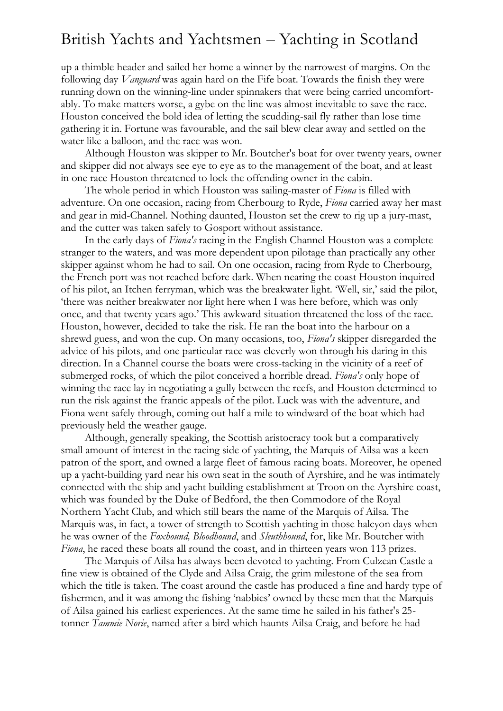up a thimble header and sailed her home a winner by the narrowest of margins. On the following day *Vanguard* was again hard on the Fife boat. Towards the finish they were running down on the winning-line under spinnakers that were being carried uncomfortably. To make matters worse, a gybe on the line was almost inevitable to save the race. Houston conceived the bold idea of letting the scudding-sail fly rather than lose time gathering it in. Fortune was favourable, and the sail blew clear away and settled on the water like a balloon, and the race was won.

Although Houston was skipper to Mr. Boutcher's boat for over twenty years, owner and skipper did not always see eye to eye as to the management of the boat, and at least in one race Houston threatened to lock the offending owner in the cabin.

The whole period in which Houston was sailing-master of *Fiona* is filled with adventure. On one occasion, racing from Cherbourg to Ryde, *Fiona* carried away her mast and gear in mid-Channel. Nothing daunted, Houston set the crew to rig up a jury-mast, and the cutter was taken safely to Gosport without assistance.

In the early days of *Fiona's* racing in the English Channel Houston was a complete stranger to the waters, and was more dependent upon pilotage than practically any other skipper against whom he had to sail. On one occasion, racing from Ryde to Cherbourg, the French port was not reached before dark. When nearing the coast Houston inquired of his pilot, an Itchen ferryman, which was the breakwater light. 'Well, sir,' said the pilot, 'there was neither breakwater nor light here when I was here before, which was only once, and that twenty years ago.' This awkward situation threatened the loss of the race. Houston, however, decided to take the risk. He ran the boat into the harbour on a shrewd guess, and won the cup. On many occasions, too, *Fiona's* skipper disregarded the advice of his pilots, and one particular race was cleverly won through his daring in this direction. In a Channel course the boats were cross-tacking in the vicinity of a reef of submerged rocks, of which the pilot conceived a horrible dread. *Fiona's* only hope of winning the race lay in negotiating a gully between the reefs, and Houston determined to run the risk against the frantic appeals of the pilot. Luck was with the adventure, and Fiona went safely through, coming out half a mile to windward of the boat which had previously held the weather gauge.

Although, generally speaking, the Scottish aristocracy took but a comparatively small amount of interest in the racing side of yachting, the Marquis of Ailsa was a keen patron of the sport, and owned a large fleet of famous racing boats. Moreover, he opened up a yacht-building yard near his own seat in the south of Ayrshire, and he was intimately connected with the ship and yacht building establishment at Troon on the Ayrshire coast, which was founded by the Duke of Bedford, the then Commodore of the Royal Northern Yacht Club, and which still bears the name of the Marquis of Ailsa. The Marquis was, in fact, a tower of strength to Scottish yachting in those halcyon days when he was owner of the *Foxhound, Bloodhound*, and *Sleuthhound*, for, like Mr. Boutcher with *Fiona*, he raced these boats all round the coast, and in thirteen years won 113 prizes.

The Marquis of Ailsa has always been devoted to yachting. From Culzean Castle a fine view is obtained of the Clyde and Ailsa Craig, the grim milestone of the sea from which the title is taken. The coast around the castle has produced a fine and hardy type of fishermen, and it was among the fishing 'nabbies' owned by these men that the Marquis of Ailsa gained his earliest experiences. At the same time he sailed in his father's 25 tonner *Tammie Norie*, named after a bird which haunts Ailsa Craig, and before he had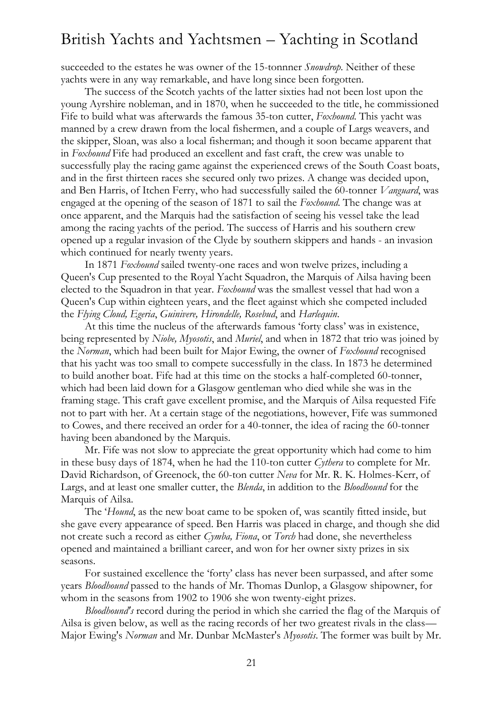succeeded to the estates he was owner of the 15-tonnner *Snowdrop*. Neither of these yachts were in any way remarkable, and have long since been forgotten.

The success of the Scotch yachts of the latter sixties had not been lost upon the young Ayrshire nobleman, and in 1870, when he succeeded to the title, he commissioned Fife to build what was afterwards the famous 35-ton cutter, *Foxhound*. This yacht was manned by a crew drawn from the local fishermen, and a couple of Largs weavers, and the skipper, Sloan, was also a local fisherman; and though it soon became apparent that in *Foxhound* Fife had produced an excellent and fast craft, the crew was unable to successfully play the racing game against the experienced crews of the South Coast boats, and in the first thirteen races she secured only two prizes. A change was decided upon, and Ben Harris, of Itchen Ferry, who had successfully sailed the 60-tonner *Vanguard*, was engaged at the opening of the season of 1871 to sail the *Foxhound*. The change was at once apparent, and the Marquis had the satisfaction of seeing his vessel take the lead among the racing yachts of the period. The success of Harris and his southern crew opened up a regular invasion of the Clyde by southern skippers and hands - an invasion which continued for nearly twenty years.

In 1871 *Foxhound* sailed twenty-one races and won twelve prizes, including a Queen's Cup presented to the Royal Yacht Squadron, the Marquis of Ailsa having been elected to the Squadron in that year. *Foxhound* was the smallest vessel that had won a Queen's Cup within eighteen years, and the fleet against which she competed included the *Flying Cloud, Egeria*, *Guinivere, Hirondelle, Rosebud*, and *Harlequin*.

At this time the nucleus of the afterwards famous 'forty class' was in existence, being represented by *Niobe, Myosotis*, and *Muriel*, and when in 1872 that trio was joined by the *Norman*, which had been built for Major Ewing, the owner of *Foxhound* recognised that his yacht was too small to compete successfully in the class. In 1873 he determined to build another boat. Fife had at this time on the stocks a half-completed 60-tonner, which had been laid down for a Glasgow gentleman who died while she was in the framing stage. This craft gave excellent promise, and the Marquis of Ailsa requested Fife not to part with her. At a certain stage of the negotiations, however, Fife was summoned to Cowes, and there received an order for a 40-tonner, the idea of racing the 60-tonner having been abandoned by the Marquis.

Mr. Fife was not slow to appreciate the great opportunity which had come to him in these busy days of 1874, when he had the 110-ton cutter *Cythera* to complete for Mr. David Richardson, of Greenock, the 60-ton cutter *Neva* for Mr. R. K. Holmes-Kerr, of Largs, and at least one smaller cutter, the *Blenda*, in addition to the *Bloodhound* for the Marquis of Ailsa.

The '*Hound*, as the new boat came to be spoken of, was scantily fitted inside, but she gave every appearance of speed. Ben Harris was placed in charge, and though she did not create such a record as either *Cymba, Fiona*, or *Torch* had done, she nevertheless opened and maintained a brilliant career, and won for her owner sixty prizes in six seasons.

For sustained excellence the 'forty' class has never been surpassed, and after some years *Bloodhound* passed to the hands of Mr. Thomas Dunlop, a Glasgow shipowner, for whom in the seasons from 1902 to 1906 she won twenty-eight prizes.

*Bloodhound's* record during the period in which she carried the flag of the Marquis of Ailsa is given below, as well as the racing records of her two greatest rivals in the class— Major Ewing's *Norman* and Mr. Dunbar McMaster's *Myosotis*. The former was built by Mr.